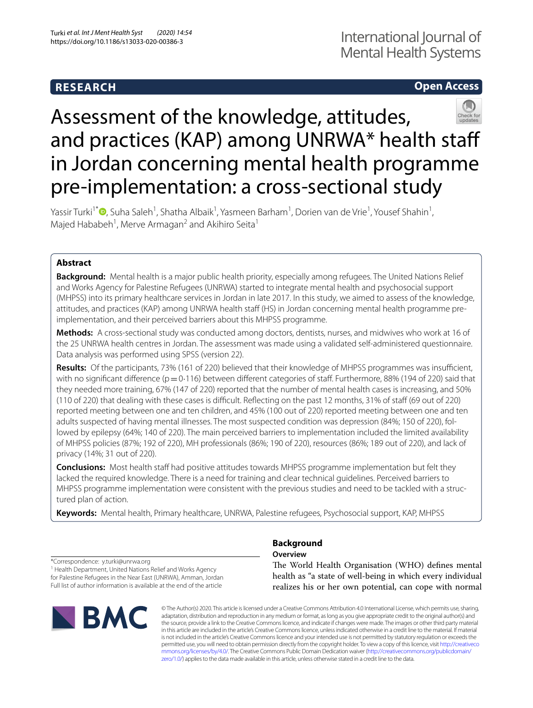# **RESEARCH**

# **Open Access**



Yassir Turki<sup>1\*</sup>®[,](http://orcid.org/0000-0001-5064-0864) Suha Saleh<sup>1</sup>, Shatha Albaik<sup>1</sup>, Yasmeen Barham<sup>1</sup>, Dorien van de Vrie<sup>1</sup>, Yousef Shahin<sup>1</sup>, Majed Hababeh<sup>1</sup>, Merve Armagan<sup>2</sup> and Akihiro Seita<sup>1</sup>

## **Abstract**

**Background:** Mental health is a major public health priority, especially among refugees. The United Nations Relief and Works Agency for Palestine Refugees (UNRWA) started to integrate mental health and psychosocial support (MHPSS) into its primary healthcare services in Jordan in late 2017. In this study, we aimed to assess of the knowledge, attitudes, and practices (KAP) among UNRWA health staff (HS) in Jordan concerning mental health programme preimplementation, and their perceived barriers about this MHPSS programme.

**Methods:** A cross-sectional study was conducted among doctors, dentists, nurses, and midwives who work at 16 of the 25 UNRWA health centres in Jordan. The assessment was made using a validated self-administered questionnaire. Data analysis was performed using SPSS (version 22).

Results: Of the participants, 73% (161 of 220) believed that their knowledge of MHPSS programmes was insufficient, with no significant difference ( $p=0.116$ ) between different categories of staff. Furthermore, 88% (194 of 220) said that they needed more training, 67% (147 of 220) reported that the number of mental health cases is increasing, and 50% (110 of 220) that dealing with these cases is difcult. Refecting on the past 12 months, 31% of staf (69 out of 220) reported meeting between one and ten children, and 45% (100 out of 220) reported meeting between one and ten adults suspected of having mental illnesses. The most suspected condition was depression (84%; 150 of 220), followed by epilepsy (64%; 140 of 220). The main perceived barriers to implementation included the limited availability of MHPSS policies (87%; 192 of 220), MH professionals (86%; 190 of 220), resources (86%; 189 out of 220), and lack of privacy (14%; 31 out of 220).

**Conclusions:** Most health staff had positive attitudes towards MHPSS programme implementation but felt they lacked the required knowledge. There is a need for training and clear technical guidelines. Perceived barriers to MHPSS programme implementation were consistent with the previous studies and need to be tackled with a structured plan of action.

**Keywords:** Mental health, Primary healthcare, UNRWA, Palestine refugees, Psychosocial support, KAP, MHPSS

\*Correspondence: y.turki@unrwa.org <sup>1</sup> Health Department, United Nations Relief and Works Agency for Palestine Refugees in the Near East (UNRWA), Amman, Jordan Full list of author information is available at the end of the article



## **Background Overview**

The World Health Organisation (WHO) defines mental health as "a state of well-being in which every individual realizes his or her own potential, can cope with normal

© The Author(s) 2020. This article is licensed under a Creative Commons Attribution 4.0 International License, which permits use, sharing, adaptation, distribution and reproduction in any medium or format, as long as you give appropriate credit to the original author(s) and the source, provide a link to the Creative Commons licence, and indicate if changes were made. The images or other third party material in this article are included in the article's Creative Commons licence, unless indicated otherwise in a credit line to the material. If material is not included in the article's Creative Commons licence and your intended use is not permitted by statutory regulation or exceeds the permitted use, you will need to obtain permission directly from the copyright holder. To view a copy of this licence, visit [http://creativeco](http://creativecommons.org/licenses/by/4.0/) [mmons.org/licenses/by/4.0/.](http://creativecommons.org/licenses/by/4.0/) The Creative Commons Public Domain Dedication waiver ([http://creativecommons.org/publicdomain/](http://creativecommons.org/publicdomain/zero/1.0/) [zero/1.0/\)](http://creativecommons.org/publicdomain/zero/1.0/) applies to the data made available in this article, unless otherwise stated in a credit line to the data.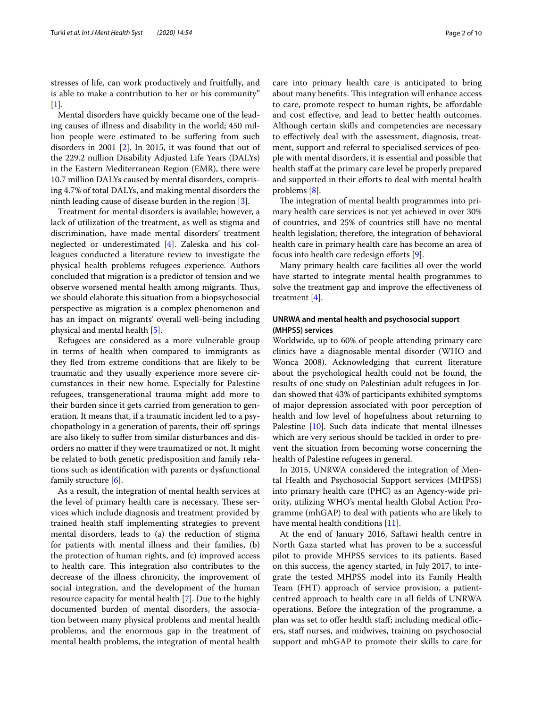stresses of life, can work productively and fruitfully, and is able to make a contribution to her or his community" [[1\]](#page-9-0).

Mental disorders have quickly became one of the leading causes of illness and disability in the world; 450 million people were estimated to be sufering from such disorders in 2001 [[2\]](#page-9-1). In 2015, it was found that out of the 229.2 million Disability Adjusted Life Years (DALYs) in the Eastern Mediterranean Region (EMR), there were 10.7 million DALYs caused by mental disorders, comprising 4.7% of total DALYs, and making mental disorders the ninth leading cause of disease burden in the region [[3\]](#page-9-2).

Treatment for mental disorders is available; however, a lack of utilization of the treatment, as well as stigma and discrimination, have made mental disorders' treatment neglected or underestimated [[4\]](#page-9-3). Zaleska and his colleagues conducted a literature review to investigate the physical health problems refugees experience. Authors concluded that migration is a predictor of tension and we observe worsened mental health among migrants. Thus, we should elaborate this situation from a biopsychosocial perspective as migration is a complex phenomenon and has an impact on migrants' overall well-being including physical and mental health [\[5](#page-9-4)].

Refugees are considered as a more vulnerable group in terms of health when compared to immigrants as they fled from extreme conditions that are likely to be traumatic and they usually experience more severe circumstances in their new home. Especially for Palestine refugees, transgenerational trauma might add more to their burden since it gets carried from generation to generation. It means that, if a traumatic incident led to a psychopathology in a generation of parents, their off-springs are also likely to sufer from similar disturbances and disorders no matter if they were traumatized or not. It might be related to both genetic predisposition and family relations such as identifcation with parents or dysfunctional family structure [\[6](#page-9-5)].

As a result, the integration of mental health services at the level of primary health care is necessary. These services which include diagnosis and treatment provided by trained health staf implementing strategies to prevent mental disorders, leads to (a) the reduction of stigma for patients with mental illness and their families, (b) the protection of human rights, and (c) improved access to health care. This integration also contributes to the decrease of the illness chronicity, the improvement of social integration, and the development of the human resource capacity for mental health [[7](#page-9-6)]. Due to the highly documented burden of mental disorders, the association between many physical problems and mental health problems, and the enormous gap in the treatment of mental health problems, the integration of mental health care into primary health care is anticipated to bring about many benefits. This integration will enhance access to care, promote respect to human rights, be afordable and cost efective, and lead to better health outcomes. Although certain skills and competencies are necessary to efectively deal with the assessment, diagnosis, treatment, support and referral to specialised services of people with mental disorders, it is essential and possible that health staff at the primary care level be properly prepared and supported in their efforts to deal with mental health problems [[8](#page-9-7)].

The integration of mental health programmes into primary health care services is not yet achieved in over 30% of countries, and 25% of countries still have no mental health legislation; therefore, the integration of behavioral health care in primary health care has become an area of focus into health care redesign efforts [[9\]](#page-9-8).

Many primary health care facilities all over the world have started to integrate mental health programmes to solve the treatment gap and improve the effectiveness of treatment [[4\]](#page-9-3).

### **UNRWA and mental health and psychosocial support (MHPSS) services**

Worldwide, up to 60% of people attending primary care clinics have a diagnosable mental disorder (WHO and Wonca 2008). Acknowledging that current literature about the psychological health could not be found, the results of one study on Palestinian adult refugees in Jordan showed that 43% of participants exhibited symptoms of major depression associated with poor perception of health and low level of hopefulness about returning to Palestine [[10\]](#page-9-9). Such data indicate that mental illnesses which are very serious should be tackled in order to prevent the situation from becoming worse concerning the health of Palestine refugees in general.

In 2015, UNRWA considered the integration of Mental Health and Psychosocial Support services (MHPSS) into primary health care (PHC) as an Agency-wide priority, utilizing WHO's mental health Global Action Programme (mhGAP) to deal with patients who are likely to have mental health conditions [[11\]](#page-9-10).

At the end of January 2016, Saftawi health centre in North Gaza started what has proven to be a successful pilot to provide MHPSS services to its patients. Based on this success, the agency started, in July 2017, to integrate the tested MHPSS model into its Family Health Team (FHT) approach of service provision, a patientcentred approach to health care in all felds of UNRWA operations. Before the integration of the programme, a plan was set to offer health staff; including medical officers, staff nurses, and midwives, training on psychosocial support and mhGAP to promote their skills to care for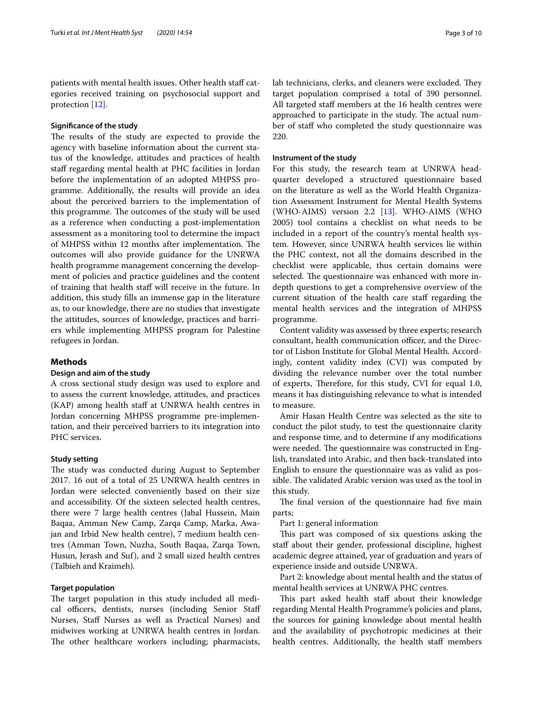patients with mental health issues. Other health staff categories received training on psychosocial support and protection [\[12\]](#page-9-11).

#### **Signifcance of the study**

The results of the study are expected to provide the agency with baseline information about the current status of the knowledge, attitudes and practices of health staff regarding mental health at PHC facilities in Jordan before the implementation of an adopted MHPSS programme. Additionally, the results will provide an idea about the perceived barriers to the implementation of this programme. The outcomes of the study will be used as a reference when conducting a post-implementation assessment as a monitoring tool to determine the impact of MHPSS within 12 months after implementation. The outcomes will also provide guidance for the UNRWA health programme management concerning the development of policies and practice guidelines and the content of training that health staf will receive in the future. In addition, this study flls an immense gap in the literature as, to our knowledge, there are no studies that investigate the attitudes, sources of knowledge, practices and barriers while implementing MHPSS program for Palestine refugees in Jordan.

### **Methods**

#### **Design and aim of the study**

A cross sectional study design was used to explore and to assess the current knowledge, attitudes, and practices (KAP) among health staf at UNRWA health centres in Jordan concerning MHPSS programme pre-implementation, and their perceived barriers to its integration into PHC services.

#### **Study setting**

The study was conducted during August to September 2017. 16 out of a total of 25 UNRWA health centres in Jordan were selected conveniently based on their size and accessibility. Of the sixteen selected health centres, there were 7 large health centres (Jabal Hussein, Main Baqaa, Amman New Camp, Zarqa Camp, Marka, Awajan and Irbid New health centre), 7 medium health centres (Amman Town, Nuzha, South Baqaa, Zarqa Town, Husun, Jerash and Suf), and 2 small sized health centres (Talbieh and Kraimeh).

### **Target population**

The target population in this study included all medical officers, dentists, nurses (including Senior Staff Nurses, Staf Nurses as well as Practical Nurses) and midwives working at UNRWA health centres in Jordan. The other healthcare workers including; pharmacists,

lab technicians, clerks, and cleaners were excluded. They target population comprised a total of 390 personnel. All targeted staff members at the 16 health centres were approached to participate in the study. The actual number of staff who completed the study questionnaire was 220.

#### **Instrument of the study**

For this study, the research team at UNRWA headquarter developed a structured questionnaire based on the literature as well as the World Health Organization Assessment Instrument for Mental Health Systems (WHO-AIMS) version 2.2 [[13](#page-9-12)]. WHO-AIMS (WHO 2005) tool contains a checklist on what needs to be included in a report of the country's mental health system. However, since UNRWA health services lie within the PHC context, not all the domains described in the checklist were applicable, thus certain domains were selected. The questionnaire was enhanced with more indepth questions to get a comprehensive overview of the current situation of the health care staff regarding the mental health services and the integration of MHPSS programme.

Content validity was assessed by three experts; research consultant, health communication officer, and the Director of Lisbon Institute for Global Mental Health. Accordingly, content validity index (CVI) was computed by dividing the relevance number over the total number of experts, Therefore, for this study, CVI for equal 1.0, means it has distinguishing relevance to what is intended to measure.

Amir Hasan Health Centre was selected as the site to conduct the pilot study, to test the questionnaire clarity and response time, and to determine if any modifcations were needed. The questionnaire was constructed in English, translated into Arabic, and then back-translated into English to ensure the questionnaire was as valid as possible. The validated Arabic version was used as the tool in this study.

The final version of the questionnaire had five main parts;

Part 1: general information

This part was composed of six questions asking the staff about their gender, professional discipline, highest academic degree attained, year of graduation and years of experience inside and outside UNRWA.

Part 2: knowledge about mental health and the status of mental health services at UNRWA PHC centres.

This part asked health staff about their knowledge regarding Mental Health Programme's policies and plans, the sources for gaining knowledge about mental health and the availability of psychotropic medicines at their health centres. Additionally, the health staff members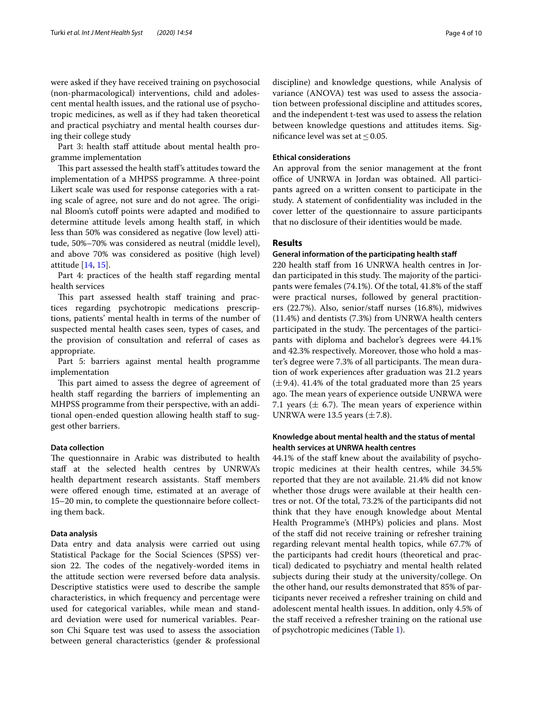were asked if they have received training on psychosocial (non-pharmacological) interventions, child and adolescent mental health issues, and the rational use of psychotropic medicines, as well as if they had taken theoretical and practical psychiatry and mental health courses during their college study

Part 3: health staff attitude about mental health programme implementation

This part assessed the health staff's attitudes toward the implementation of a MHPSS programme. A three-point Likert scale was used for response categories with a rating scale of agree, not sure and do not agree. The original Bloom's cutoff points were adapted and modified to determine attitude levels among health staf, in which less than 50% was considered as negative (low level) attitude, 50%–70% was considered as neutral (middle level), and above 70% was considered as positive (high level) attitude [[14,](#page-9-13) [15](#page-9-14)].

Part 4: practices of the health staff regarding mental health services

This part assessed health staff training and practices regarding psychotropic medications prescriptions, patients' mental health in terms of the number of suspected mental health cases seen, types of cases, and the provision of consultation and referral of cases as appropriate.

Part 5: barriers against mental health programme implementation

This part aimed to assess the degree of agreement of health staff regarding the barriers of implementing an MHPSS programme from their perspective, with an additional open-ended question allowing health staff to suggest other barriers.

#### **Data collection**

The questionnaire in Arabic was distributed to health staff at the selected health centres by UNRWA's health department research assistants. Staff members were offered enough time, estimated at an average of 15–20 min, to complete the questionnaire before collecting them back.

#### **Data analysis**

Data entry and data analysis were carried out using Statistical Package for the Social Sciences (SPSS) version 22. The codes of the negatively-worded items in the attitude section were reversed before data analysis. Descriptive statistics were used to describe the sample characteristics, in which frequency and percentage were used for categorical variables, while mean and standard deviation were used for numerical variables. Pearson Chi Square test was used to assess the association between general characteristics (gender & professional discipline) and knowledge questions, while Analysis of variance (ANOVA) test was used to assess the association between professional discipline and attitudes scores, and the independent t-test was used to assess the relation between knowledge questions and attitudes items. Significance level was set at  $\leq 0.05$ .

#### **Ethical considerations**

An approval from the senior management at the front office of UNRWA in Jordan was obtained. All participants agreed on a written consent to participate in the study. A statement of confdentiality was included in the cover letter of the questionnaire to assure participants that no disclosure of their identities would be made.

### **Results**

#### **General information of the participating health staf**

220 health staff from 16 UNRWA health centres in Jordan participated in this study. The majority of the participants were females (74.1%). Of the total, 41.8% of the staf were practical nurses, followed by general practitioners (22.7%). Also, senior/staf nurses (16.8%), midwives (11.4%) and dentists (7.3%) from UNRWA health centers participated in the study. The percentages of the participants with diploma and bachelor's degrees were 44.1% and 42.3% respectively. Moreover, those who hold a master's degree were 7.3% of all participants. The mean duration of work experiences after graduation was 21.2 years  $(\pm 9.4)$ . 41.4% of the total graduated more than 25 years ago. The mean years of experience outside UNRWA were 7.1 years ( $\pm$  6.7). The mean years of experience within UNRWA were 13.5 years  $(\pm 7.8)$ .

### **Knowledge about mental health and the status of mental health services at UNRWA health centres**

44.1% of the staff knew about the availability of psychotropic medicines at their health centres, while 34.5% reported that they are not available. 21.4% did not know whether those drugs were available at their health centres or not. Of the total, 73.2% of the participants did not think that they have enough knowledge about Mental Health Programme's (MHP's) policies and plans. Most of the staf did not receive training or refresher training regarding relevant mental health topics, while 67.7% of the participants had credit hours (theoretical and practical) dedicated to psychiatry and mental health related subjects during their study at the university/college. On the other hand, our results demonstrated that 85% of participants never received a refresher training on child and adolescent mental health issues. In addition, only 4.5% of the staff received a refresher training on the rational use of psychotropic medicines (Table [1](#page-4-0)).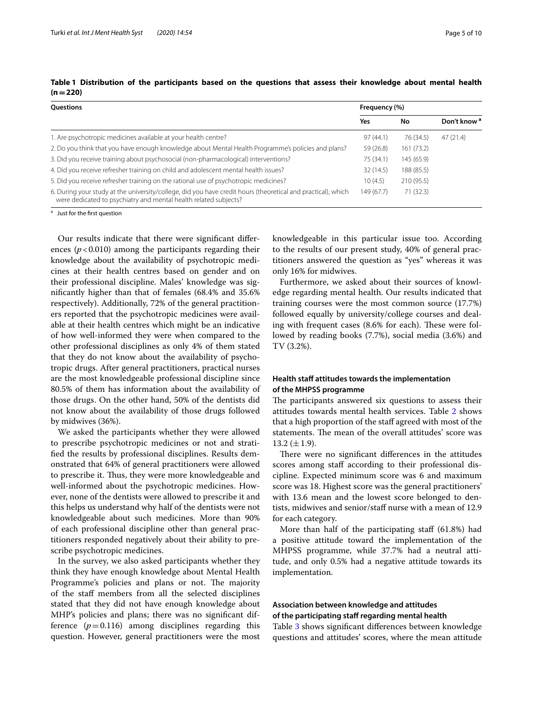| <b>Ouestions</b>                                                                                                                                                                 | Frequency (%) |            |                         |
|----------------------------------------------------------------------------------------------------------------------------------------------------------------------------------|---------------|------------|-------------------------|
|                                                                                                                                                                                  | Yes           | No         | Don't know <sup>a</sup> |
| 1. Are psychotropic medicines available at your health centre?                                                                                                                   | 97(44.1)      | 76 (34.5)  | 47(21.4)                |
| 2. Do you think that you have enough knowledge about Mental Health Programme's policies and plans?                                                                               | 59 (26.8)     | 161(73.2)  |                         |
| 3. Did you receive training about psychosocial (non-pharmacological) interventions?                                                                                              | 75 (34.1)     | 145 (65.9) |                         |
| 4. Did you receive refresher training on child and adolescent mental health issues?                                                                                              | 32(14.5)      | 188 (85.5) |                         |
| 5. Did you receive refresher training on the rational use of psychotropic medicines?                                                                                             | 10(4.5)       | 210 (95.5) |                         |
| 6. During your study at the university/college, did you have credit hours (theoretical and practical), which<br>were dedicated to psychiatry and mental health related subjects? | 149 (67.7)    | 71(32.3)   |                         |

<span id="page-4-0"></span>**Table 1 Distribution of the participants based on the questions that assess their knowledge about mental health (n=220)**

<sup>a</sup> Just for the first question

Our results indicate that there were signifcant diferences  $(p<0.010)$  among the participants regarding their knowledge about the availability of psychotropic medicines at their health centres based on gender and on their professional discipline. Males' knowledge was signifcantly higher than that of females (68.4% and 35.6% respectively). Additionally, 72% of the general practitioners reported that the psychotropic medicines were available at their health centres which might be an indicative of how well-informed they were when compared to the other professional disciplines as only 4% of them stated that they do not know about the availability of psychotropic drugs. After general practitioners, practical nurses are the most knowledgeable professional discipline since 80.5% of them has information about the availability of those drugs. On the other hand, 50% of the dentists did not know about the availability of those drugs followed by midwives (36%).

We asked the participants whether they were allowed to prescribe psychotropic medicines or not and stratifed the results by professional disciplines. Results demonstrated that 64% of general practitioners were allowed to prescribe it. Thus, they were more knowledgeable and well-informed about the psychotropic medicines. However, none of the dentists were allowed to prescribe it and this helps us understand why half of the dentists were not knowledgeable about such medicines. More than 90% of each professional discipline other than general practitioners responded negatively about their ability to prescribe psychotropic medicines.

In the survey, we also asked participants whether they think they have enough knowledge about Mental Health Programme's policies and plans or not. The majority of the staf members from all the selected disciplines stated that they did not have enough knowledge about MHP's policies and plans; there was no signifcant difference  $(p=0.116)$  among disciplines regarding this question. However, general practitioners were the most knowledgeable in this particular issue too. According to the results of our present study, 40% of general practitioners answered the question as "yes" whereas it was only 16% for midwives.

Furthermore, we asked about their sources of knowledge regarding mental health. Our results indicated that training courses were the most common source (17.7%) followed equally by university/college courses and dealing with frequent cases  $(8.6\%$  for each). These were followed by reading books (7.7%), social media (3.6%) and TV (3.2%).

### **Health staff attitudes towards the implementation of the MHPSS programme**

The participants answered six questions to assess their attitudes towards mental health services. Table [2](#page-5-0) shows that a high proportion of the staf agreed with most of the statements. The mean of the overall attitudes' score was  $13.2 (\pm 1.9)$ .

There were no significant differences in the attitudes scores among staff according to their professional discipline. Expected minimum score was 6 and maximum score was 18. Highest score was the general practitioners' with 13.6 mean and the lowest score belonged to dentists, midwives and senior/staff nurse with a mean of 12.9 for each category.

More than half of the participating staf (61.8%) had a positive attitude toward the implementation of the MHPSS programme, while 37.7% had a neutral attitude, and only 0.5% had a negative attitude towards its implementation.

### **Association between knowledge and attitudes**  of the participating staff regarding mental health

Table [3](#page-5-1) shows signifcant diferences between knowledge questions and attitudes' scores, where the mean attitude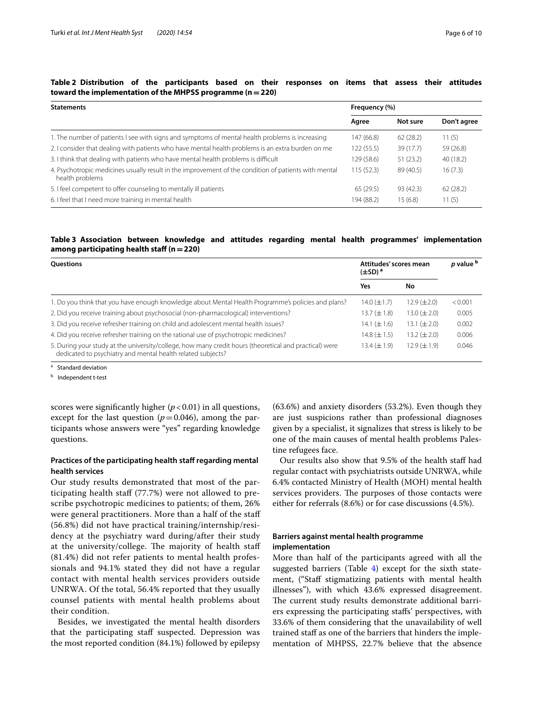### <span id="page-5-0"></span>**Table 2 Distribution of the participants based on their responses on items that assess their attitudes toward the implementation of the MHPSS programme (n=220)**

| <b>Statements</b>                                                                                                       | Frequency (%) |           |             |  |
|-------------------------------------------------------------------------------------------------------------------------|---------------|-----------|-------------|--|
|                                                                                                                         | Agree         | Not sure  | Don't agree |  |
| 1. The number of patients I see with signs and symptoms of mental health problems is increasing                         | 147 (66.8)    | 62(28.2)  | 11(5)       |  |
| 2. I consider that dealing with patients who have mental health problems is an extra burden on me                       | 122(55.5)     | 39 (17.7) | 59 (26.8)   |  |
| 3. I think that dealing with patients who have mental health problems is difficult                                      | 129 (58.6)    | 51(23.2)  | 40 (18.2)   |  |
| 4. Psychotropic medicines usually result in the improvement of the condition of patients with mental<br>health problems | 115(52.3)     | 89 (40.5) | 16(7.3)     |  |
| 5. I feel competent to offer counseling to mentally ill patients                                                        | 65(29.5)      | 93 (42.3) | 62(28.2)    |  |
| 6. I feel that I need more training in mental health                                                                    | 194 (88.2)    | 15(6.8)   | 11(5)       |  |

### <span id="page-5-1"></span>**Table 3 Association between knowledge and attitudes regarding mental health programmes' implementation among participating health staf (n=220)**

| <b>Ouestions</b>                                                                                                                                                      | Attitudes' scores mean<br>$(\pm SD)^a$ |                  | p value <sup>b</sup> |
|-----------------------------------------------------------------------------------------------------------------------------------------------------------------------|----------------------------------------|------------------|----------------------|
|                                                                                                                                                                       | Yes                                    | No.              |                      |
| 1. Do you think that you have enough knowledge about Mental Health Programme's policies and plans?                                                                    | $14.0 (\pm 1.7)$                       | $12.9 (\pm 2.0)$ | < 0.001              |
| 2. Did you receive training about psychosocial (non-pharmacological) interventions?                                                                                   | $13.7 (\pm 1.8)$                       | $13.0 (\pm 2.0)$ | 0.005                |
| 3. Did you receive refresher training on child and adolescent mental health issues?                                                                                   | $14.1 (\pm 1.6)$                       | 13.1 $(\pm 2.0)$ | 0.002                |
| 4. Did you receive refresher training on the rational use of psychotropic medicines?                                                                                  | 14.8 $(\pm 1.5)$                       | $13.2 (\pm 2.0)$ | 0.006                |
| 5. During your study at the university/college, how many credit hours (theoretical and practical) were<br>dedicated to psychiatry and mental health related subjects? | $13.4 (\pm 1.9)$                       | $12.9 (\pm 1.9)$ | 0.046                |

<sup>a</sup> Standard deviation

**b** Independent t-test

scores were significantly higher  $(p<0.01)$  in all questions, except for the last question ( $p=0.046$ ), among the participants whose answers were "yes" regarding knowledge questions.

### Practices of the participating health staff regarding mental **health services**

Our study results demonstrated that most of the participating health staff (77.7%) were not allowed to prescribe psychotropic medicines to patients; of them, 26% were general practitioners. More than a half of the staf (56.8%) did not have practical training/internship/residency at the psychiatry ward during/after their study at the university/college. The majority of health staff (81.4%) did not refer patients to mental health professionals and 94.1% stated they did not have a regular contact with mental health services providers outside UNRWA. Of the total, 56.4% reported that they usually counsel patients with mental health problems about their condition.

Besides, we investigated the mental health disorders that the participating staff suspected. Depression was the most reported condition (84.1%) followed by epilepsy

(63.6%) and anxiety disorders (53.2%). Even though they are just suspicions rather than professional diagnoses given by a specialist, it signalizes that stress is likely to be one of the main causes of mental health problems Palestine refugees face.

Our results also show that 9.5% of the health staf had regular contact with psychiatrists outside UNRWA, while 6.4% contacted Ministry of Health (MOH) mental health services providers. The purposes of those contacts were either for referrals (8.6%) or for case discussions (4.5%).

### **Barriers against mental health programme implementation**

More than half of the participants agreed with all the suggested barriers (Table [4](#page-6-0)) except for the sixth statement, ("Staff stigmatizing patients with mental health illnesses"), with which 43.6% expressed disagreement. The current study results demonstrate additional barriers expressing the participating stafs' perspectives, with 33.6% of them considering that the unavailability of well trained staf as one of the barriers that hinders the implementation of MHPSS, 22.7% believe that the absence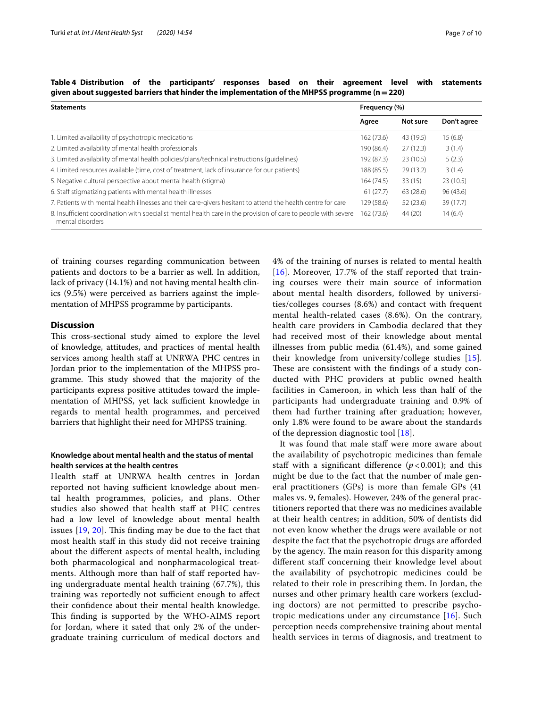| <b>Statements</b>                                                                                                                  | Frequency (%) |           |             |
|------------------------------------------------------------------------------------------------------------------------------------|---------------|-----------|-------------|
|                                                                                                                                    | Agree         | Not sure  | Don't agree |
| 1. Limited availability of psychotropic medications                                                                                | 162 (73.6)    | 43 (19.5) | 15(6.8)     |
| 2. Limited availability of mental health professionals                                                                             | 190 (86.4)    | 27(12.3)  | 3(1.4)      |
| 3. Limited availability of mental health policies/plans/technical instructions (quidelines)                                        | 192 (87.3)    | 23(10.5)  | 5(2.3)      |
| 4. Limited resources available (time, cost of treatment, lack of insurance for our patients)                                       | 188 (85.5)    | 29(13.2)  | 3(1.4)      |
| 5. Negative cultural perspective about mental health (stigma)                                                                      | 164 (74.5)    | 33(15)    | 23(10.5)    |
| 6. Staff stigmatizing patients with mental health illnesses                                                                        | 61(27.7)      | 63(28.6)  | 96(43.6)    |
| 7. Patients with mental health illnesses and their care-givers hesitant to attend the health centre for care                       | 129 (58.6)    | 52(23.6)  | 39 (17.7)   |
| 8. Insufficient coordination with specialist mental health care in the provision of care to people with severe<br>mental disorders | 162 (73.6)    | 44 (20)   | 14(6.4)     |

<span id="page-6-0"></span>**Table 4 Distribution of the participants' responses based on their agreement level with statements given about suggested barriers that hinder the implementation of the MHPSS programme (n=220)**

of training courses regarding communication between patients and doctors to be a barrier as well. In addition, lack of privacy (14.1%) and not having mental health clinics (9.5%) were perceived as barriers against the implementation of MHPSS programme by participants.

### **Discussion**

This cross-sectional study aimed to explore the level of knowledge, attitudes, and practices of mental health services among health staff at UNRWA PHC centres in Jordan prior to the implementation of the MHPSS programme. This study showed that the majority of the participants express positive attitudes toward the implementation of MHPSS, yet lack sufficient knowledge in regards to mental health programmes, and perceived barriers that highlight their need for MHPSS training.

### **Knowledge about mental health and the status of mental health services at the health centres**

Health staff at UNRWA health centres in Jordan reported not having sufficient knowledge about mental health programmes, policies, and plans. Other studies also showed that health staff at PHC centres had a low level of knowledge about mental health issues  $[19, 20]$  $[19, 20]$  $[19, 20]$  $[19, 20]$  $[19, 20]$ . This finding may be due to the fact that most health staff in this study did not receive training about the diferent aspects of mental health, including both pharmacological and nonpharmacological treatments. Although more than half of staff reported having undergraduate mental health training (67.7%), this training was reportedly not sufficient enough to affect their confdence about their mental health knowledge. This finding is supported by the WHO-AIMS report for Jordan, where it sated that only 2% of the undergraduate training curriculum of medical doctors and 4% of the training of nurses is related to mental health [ $16$ ]. Moreover, 17.7% of the staff reported that training courses were their main source of information about mental health disorders, followed by universities/colleges courses (8.6%) and contact with frequent mental health-related cases (8.6%). On the contrary, health care providers in Cambodia declared that they had received most of their knowledge about mental illnesses from public media (61.4%), and some gained their knowledge from university/college studies [[15](#page-9-14)]. These are consistent with the findings of a study conducted with PHC providers at public owned health facilities in Cameroon, in which less than half of the participants had undergraduate training and 0.9% of them had further training after graduation; however, only 1.8% were found to be aware about the standards of the depression diagnostic tool [[18\]](#page-9-18).

It was found that male staff were more aware about the availability of psychotropic medicines than female staff with a significant difference  $(p < 0.001)$ ; and this might be due to the fact that the number of male general practitioners (GPs) is more than female GPs (41 males vs. 9, females). However, 24% of the general practitioners reported that there was no medicines available at their health centres; in addition, 50% of dentists did not even know whether the drugs were available or not despite the fact that the psychotropic drugs are aforded by the agency. The main reason for this disparity among different staff concerning their knowledge level about the availability of psychotropic medicines could be related to their role in prescribing them. In Jordan, the nurses and other primary health care workers (excluding doctors) are not permitted to prescribe psychotropic medications under any circumstance [[16\]](#page-9-17). Such perception needs comprehensive training about mental health services in terms of diagnosis, and treatment to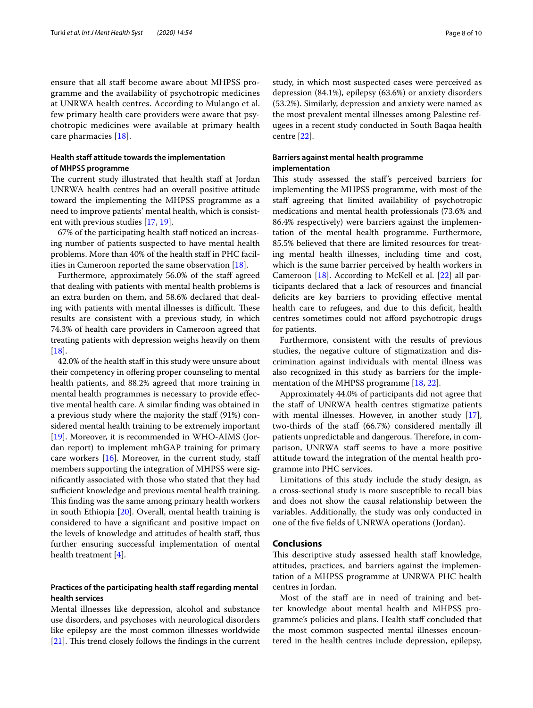ensure that all staf become aware about MHPSS programme and the availability of psychotropic medicines at UNRWA health centres. According to Mulango et al. few primary health care providers were aware that psychotropic medicines were available at primary health care pharmacies [[18](#page-9-18)].

### **Health staff attitude towards the implementation of MHPSS programme**

The current study illustrated that health staff at Jordan UNRWA health centres had an overall positive attitude toward the implementing the MHPSS programme as a need to improve patients' mental health, which is consistent with previous studies [\[17](#page-9-19), [19](#page-9-15)].

67% of the participating health staff noticed an increasing number of patients suspected to have mental health problems. More than 40% of the health staff in PHC facilities in Cameroon reported the same observation [\[18](#page-9-18)].

Furthermore, approximately 56.0% of the staff agreed that dealing with patients with mental health problems is an extra burden on them, and 58.6% declared that dealing with patients with mental illnesses is difficult. These results are consistent with a previous study, in which 74.3% of health care providers in Cameroon agreed that treating patients with depression weighs heavily on them  $[18]$  $[18]$ .

42.0% of the health staf in this study were unsure about their competency in ofering proper counseling to mental health patients, and 88.2% agreed that more training in mental health programmes is necessary to provide efective mental health care. A similar fnding was obtained in a previous study where the majority the staf (91%) considered mental health training to be extremely important [[19\]](#page-9-15). Moreover, it is recommended in WHO-AIMS (Jordan report) to implement mhGAP training for primary care workers  $[16]$  $[16]$ . Moreover, in the current study, staff members supporting the integration of MHPSS were signifcantly associated with those who stated that they had sufficient knowledge and previous mental health training. This finding was the same among primary health workers in south Ethiopia [\[20](#page-9-16)]. Overall, mental health training is considered to have a signifcant and positive impact on the levels of knowledge and attitudes of health staf, thus further ensuring successful implementation of mental health treatment [\[4](#page-9-3)].

### Practices of the participating health staff regarding mental **health services**

Mental illnesses like depression, alcohol and substance use disorders, and psychoses with neurological disorders like epilepsy are the most common illnesses worldwide  $[21]$  $[21]$ . This trend closely follows the findings in the current study, in which most suspected cases were perceived as depression (84.1%), epilepsy (63.6%) or anxiety disorders (53.2%). Similarly, depression and anxiety were named as the most prevalent mental illnesses among Palestine refugees in a recent study conducted in South Baqaa health centre [[22\]](#page-9-21).

### **Barriers against mental health programme implementation**

This study assessed the staff's perceived barriers for implementing the MHPSS programme, with most of the staff agreeing that limited availability of psychotropic medications and mental health professionals (73.6% and 86.4% respectively) were barriers against the implementation of the mental health programme. Furthermore, 85.5% believed that there are limited resources for treating mental health illnesses, including time and cost, which is the same barrier perceived by health workers in Cameroon [[18\]](#page-9-18). According to McKell et al. [\[22\]](#page-9-21) all participants declared that a lack of resources and fnancial deficits are key barriers to providing effective mental health care to refugees, and due to this deficit, health centres sometimes could not aford psychotropic drugs for patients.

Furthermore, consistent with the results of previous studies, the negative culture of stigmatization and discrimination against individuals with mental illness was also recognized in this study as barriers for the implementation of the MHPSS programme [\[18](#page-9-18), [22\]](#page-9-21).

Approximately 44.0% of participants did not agree that the staf of UNRWA health centres stigmatize patients with mental illnesses. However, in another study [\[17](#page-9-19)], two-thirds of the staf (66.7%) considered mentally ill patients unpredictable and dangerous. Therefore, in comparison, UNRWA staff seems to have a more positive attitude toward the integration of the mental health programme into PHC services.

Limitations of this study include the study design, as a cross-sectional study is more susceptible to recall bias and does not show the causal relationship between the variables. Additionally, the study was only conducted in one of the fve felds of UNRWA operations (Jordan).

#### **Conclusions**

This descriptive study assessed health staff knowledge, attitudes, practices, and barriers against the implementation of a MHPSS programme at UNRWA PHC health centres in Jordan.

Most of the staff are in need of training and better knowledge about mental health and MHPSS programme's policies and plans. Health staf concluded that the most common suspected mental illnesses encountered in the health centres include depression, epilepsy,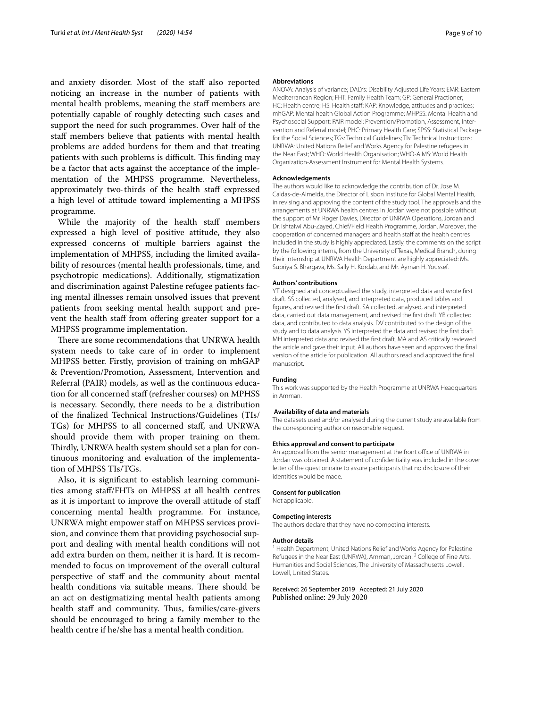and anxiety disorder. Most of the staff also reported noticing an increase in the number of patients with mental health problems, meaning the staff members are potentially capable of roughly detecting such cases and support the need for such programmes. Over half of the staff members believe that patients with mental health problems are added burdens for them and that treating patients with such problems is difficult. This finding may be a factor that acts against the acceptance of the implementation of the MHPSS programme. Nevertheless, approximately two-thirds of the health staff expressed a high level of attitude toward implementing a MHPSS programme.

While the majority of the health staff members expressed a high level of positive attitude, they also expressed concerns of multiple barriers against the implementation of MHPSS, including the limited availability of resources (mental health professionals, time, and psychotropic medications). Additionally, stigmatization and discrimination against Palestine refugee patients facing mental illnesses remain unsolved issues that prevent patients from seeking mental health support and prevent the health staff from offering greater support for a MHPSS programme implementation.

There are some recommendations that UNRWA health system needs to take care of in order to implement MHPSS better. Firstly, provision of training on mhGAP & Prevention/Promotion, Assessment, Intervention and Referral (PAIR) models, as well as the continuous education for all concerned staf (refresher courses) on MPHSS is necessary. Secondly, there needs to be a distribution of the fnalized Technical Instructions/Guidelines (TIs/ TGs) for MHPSS to all concerned staf, and UNRWA should provide them with proper training on them. Thirdly, UNRWA health system should set a plan for continuous monitoring and evaluation of the implementation of MHPSS TIs/TGs.

Also, it is signifcant to establish learning communities among staf/FHTs on MHPSS at all health centres as it is important to improve the overall attitude of staf concerning mental health programme. For instance, UNRWA might empower staf on MHPSS services provision, and convince them that providing psychosocial support and dealing with mental health conditions will not add extra burden on them, neither it is hard. It is recommended to focus on improvement of the overall cultural perspective of staff and the community about mental health conditions via suitable means. There should be an act on destigmatizing mental health patients among health staff and community. Thus, families/care-givers should be encouraged to bring a family member to the health centre if he/she has a mental health condition.

#### **Abbreviations**

ANOVA: Analysis of variance; DALYs: Disability Adjusted Life Years; EMR: Eastern Mediterranean Region; FHT: Family Health Team; GP: General Practioner; HC: Health centre; HS: Health staff; KAP: Knowledge, attitudes and practices; mhGAP: Mental health Global Action Programme; MHPSS: Mental Health and Psychosocial Support; PAIR model: Prevention/Promotion, Assessment, Intervention and Referral model; PHC: Primary Health Care; SPSS: Statistical Package for the Social Sciences; TGs: Technical Guidelines; TIs: Technical Instructions; UNRWA: United Nations Relief and Works Agency for Palestine refugees in the Near East; WHO: World Health Organisation; WHO-AIMS: World Health Organization-Assessment Instrument for Mental Health Systems.

#### **Acknowledgements**

The authors would like to acknowledge the contribution of Dr. Jose M. Caldas-de-Almeida, the Director of Lisbon Institute for Global Mental Health, in revising and approving the content of the study tool. The approvals and the arrangements at UNRWA health centres in Jordan were not possible without the support of Mr. Roger Davies, Director of UNRWA Operations, Jordan and Dr. Ishtaiwi Abu-Zayed, Chief/Field Health Programme, Jordan. Moreover, the cooperation of concerned managers and health staff at the health centres included in the study is highly appreciated. Lastly, the comments on the script by the following interns, from the University of Texas, Medical Branch, during their internship at UNRWA Health Department are highly appreciated: Ms. Supriya S. Bhargava, Ms. Sally H. Kordab, and Mr. Ayman H. Youssef.

#### **Authors' contributions**

YT designed and conceptualised the study, interpreted data and wrote frst draft. SS collected, analysed, and interpreted data, produced tables and fgures, and revised the frst draft. SA collected, analysed, and interpreted data, carried out data management, and revised the frst draft. YB collected data, and contributed to data analysis. DV contributed to the design of the study and to data analysis. YS interpreted the data and revised the frst draft. MH interpreted data and revised the frst draft. MA and AS critically reviewed the article and gave their input. All authors have seen and approved the fnal version of the article for publication. All authors read and approved the fnal manuscript.

#### **Funding**

This work was supported by the Health Programme at UNRWA Headquarters in Amman.

#### **Availability of data and materials**

The datasets used and/or analysed during the current study are available from the corresponding author on reasonable request.

#### **Ethics approval and consent to participate**

An approval from the senior management at the front office of UNRWA in Jordan was obtained. A statement of confdentiality was included in the cover letter of the questionnaire to assure participants that no disclosure of their identities would be made.

#### **Consent for publication**

Not applicable.

#### **Competing interests**

The authors declare that they have no competing interests.

#### **Author details**

<sup>1</sup> Health Department, United Nations Relief and Works Agency for Palestine Refugees in the Near East (UNRWA), Amman, Jordan.<sup>2</sup> College of Fine Arts, Humanities and Social Sciences, The University of Massachusetts Lowell, Lowell, United States.

#### Received: 26 September 2019 Accepted: 21 July 2020Published online: 29 July 2020